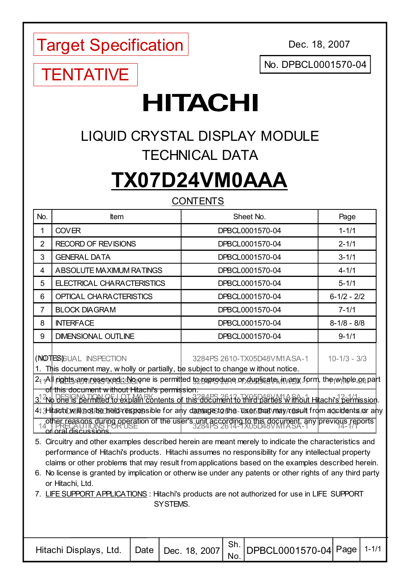Target Specification

Dec. 18, 2007

No. DPBCL0001570-04

## **TENTATIVE**

# **HITACHI**

### LIQUID CRYSTAL DISPLAY MODULE TECHNICAL DATA

## **TX07D24VM0AAA**

#### **CONTENTS**

| No. | ltem                       | Sheet No.       | Page            |
|-----|----------------------------|-----------------|-----------------|
|     | <b>COVER</b>               | DPBCL0001570-04 | $1 - 1/1$       |
| 2   | <b>RECORD OF REVISIONS</b> | DPBCL0001570-04 | $2 - 1/1$       |
| 3   | <b>GENERAL DATA</b>        | DPBCL0001570-04 | $3 - 1/1$       |
| 4   | ABSOLUTE MAXIMUM RATINGS   | DPBCL0001570-04 | $4 - 1/1$       |
| 5   | ELECTRICAL CHARACTERISTICS | DPBCL0001570-04 | $5 - 1/1$       |
| 6   | OPTICAL CHARACTERISTICS    | DPBCL0001570-04 | $6 - 1/2 - 2/2$ |
|     | <b>BLOCK DIAGRAM</b>       | DPBCL0001570-04 | $7 - 1/1$       |
| 8   | <b>INTERFACE</b>           | DPBCL0001570-04 | $8-1/8 - 8/8$   |
| 9   | <b>DIMENSIONAL OUTLINE</b> | DPBCL0001570-04 | $9 - 1/1$       |

(NOTES)

- 1. This document may, w holly or partially, be subject to change w ithout notice.
- 2. All rights are reserved ; No one is permitted to reproduce or duplicate, in any form, the w hole or part of this document w ithout Hitachi's permission.
- 3. No one is permitted to explain contents of this document to third parties w ithout Hitachi's permission.
- 4. Hitachi w ill not be held responsible for any damage to the user that may result from accidents or any other reasons during operation of the user's unit according to this document, any previous reports<br>example discussions ether recome during operations.  $\frac{1}{2}$
- 5. Circuitry and other examples described herein are meant merely to indicate the characteristics and performance of Hitachi's products. Hitachi assumes no responsibility for any intellectual property claims or other problems that may result from applications based on the examples described herein.
- 6. No license is granted by implication or otherw ise under any patents or other rights of any third party or Hitachi, Ltd.
- 7. LIFE SUPPORT APPLICATIONS : Hitachi's products are not authorized for use in LIFE SUPPORT SYSTEMS.

| . Intachi Displays, Ltd. Date Dec. 18, 2007 $\left \frac{Sh.}{No.}\right $ DPBCL0001570-04 Page $1441$ |  |  |  |  |  |  |
|--------------------------------------------------------------------------------------------------------|--|--|--|--|--|--|
|--------------------------------------------------------------------------------------------------------|--|--|--|--|--|--|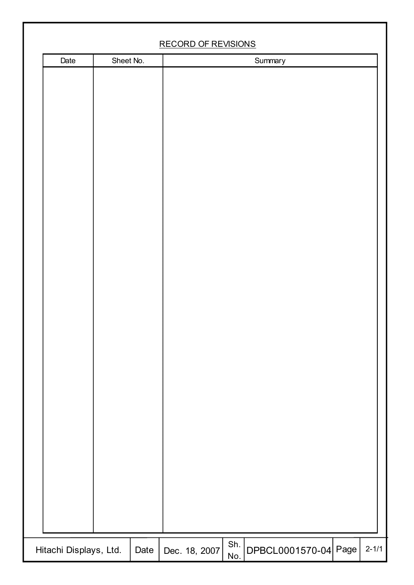|                        | <b>RECORD OF REVISIONS</b> |     |                      |  |
|------------------------|----------------------------|-----|----------------------|--|
| Date<br>Sheet No.      |                            |     | Summary              |  |
| Hitachi Displays, Ltd. |                            | Sh. | DPBCL0001570-04 Page |  |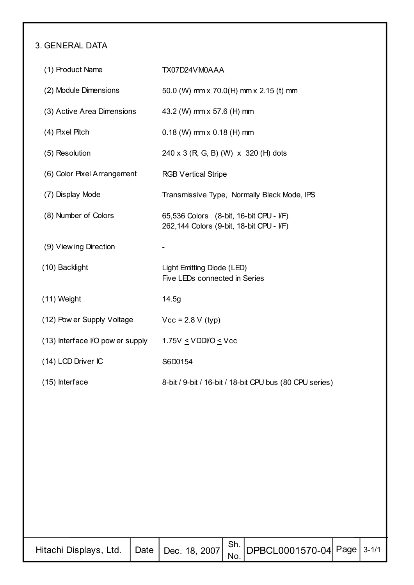#### 3. GENERAL DATA

| (1) Product Name                 | TX07D24VM0AAA                                                                       |
|----------------------------------|-------------------------------------------------------------------------------------|
| (2) Module Dimensions            | 50.0 (W) mm x 70.0(H) mm x 2.15 (t) mm                                              |
| (3) Active Area Dimensions       | 43.2 (W) mm x 57.6 (H) mm                                                           |
| (4) Pixel Pitch                  | $0.18$ (W) mm x $0.18$ (H) mm                                                       |
| (5) Resolution                   | 240 x 3 (R, G, B) (W) x 320 (H) dots                                                |
| (6) Color Pixel Arrangement      | <b>RGB Vertical Stripe</b>                                                          |
| (7) Display Mode                 | Transmissive Type, Normally Black Mode, IPS                                         |
| (8) Number of Colors             | 65,536 Colors (8-bit, 16-bit CPU - I/F)<br>262,144 Colors (9-bit, 18-bit CPU - I/F) |
| (9) View ing Direction           |                                                                                     |
| (10) Backlight                   | Light Emitting Diode (LED)<br>Five LEDs connected in Series                         |
| (11) Weight                      | 14.5g                                                                               |
| (12) Pow er Supply Voltage       | $Vcc = 2.8 V$ (typ)                                                                 |
| (13) Interface I/O pow er supply | 1.75V $\leq$ VDDI/O $\leq$ Vcc                                                      |
| (14) LCD Driver IC               | S6D0154                                                                             |
| (15) Interface                   | 8-bit / 9-bit / 16-bit / 18-bit CPU bus (80 CPU series)                             |

| …acni Displays, Ltd. $\Big $ Date $\Big $ Dec. 18, 2007 $\Big $ Sn. DPBCL0001570-04 Page Late |  |  |  |  |  |
|-----------------------------------------------------------------------------------------------|--|--|--|--|--|
|-----------------------------------------------------------------------------------------------|--|--|--|--|--|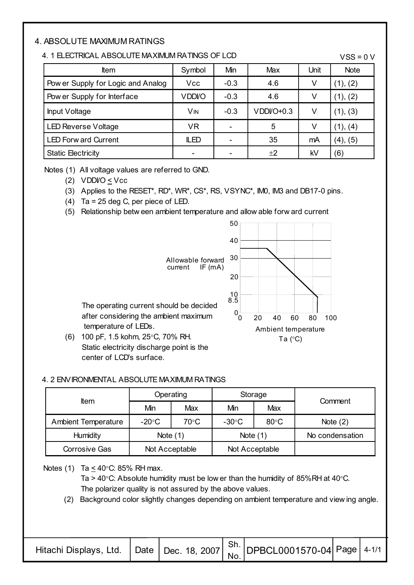#### 4. ABSOLUTE MAXIMUM RATINGS

#### 4. 1 ELECTRICAL ABSOLUTE MAXIMUM RATINGS OF LCD

 $VSS = 0 V$ 

| ltem                               | Symbol        | Min    | Max         | Unit | <b>Note</b> |
|------------------------------------|---------------|--------|-------------|------|-------------|
| Pow er Supply for Logic and Analog | <b>Vcc</b>    | $-0.3$ | 4.6         |      | (1), (2)    |
| Pow er Supply for Interface        | <b>VDDI/O</b> | $-0.3$ | 4.6         |      | (1), (2)    |
| Input Voltage                      | VM            | $-0.3$ | $VDDVO+0.3$ |      | (1), (3)    |
| <b>LED Reverse Voltage</b>         | <b>VR</b>     |        | 5           |      | (1), (4)    |
| <b>LED Forw ard Current</b>        | <b>ILED</b>   |        | 35          | mA   | (4), (5)    |
| <b>Static Electricity</b>          |               |        | ±2          | kV   | (6)         |

Notes (1) All voltage values are referred to GND.

(2) VDDI/O < Vcc

(3) Applies to the RESET\*, RD\*, WR\*, CS\*, RS, VSYNC\*, IM0, IM3 and DB17-0 pins.

- (4) Ta = 25 deg C, per piece of LED.
- (5) Relationship betw een ambient temperature and allow able forw ard current



#### 4. 2 ENVIRONMENTAL ABSOLUTE MAXIMUM RATINGS

|                            | Operating       |                |                 | Storage        | Comment         |  |
|----------------------------|-----------------|----------------|-----------------|----------------|-----------------|--|
| ltem                       | Min             | Max            | Min             | Max            |                 |  |
| <b>Ambient Temperature</b> | $-20^{\circ}$ C | $70^{\circ}$ C | $-30^{\circ}$ C | $80^{\circ}$ C | Note $(2)$      |  |
| Humidity                   | Note $(1)$      |                | Note $(1)$      |                | No condensation |  |
| <b>Corrosive Gas</b>       | Not Acceptable  |                | Not Acceptable  |                |                 |  |

Notes (1) Ta  $\leq$  40°C: 85% RH max.

Ta > 40 $\degree$ C: Absolute humidity must be low er than the humidity of 85%RH at 40 $\degree$ C. The polarizer quality is not assured by the above values.

(2) Background color slightly changes depending on ambient temperature and view ing angle.

|  |  |  | . $\frac{1}{2}$ muachi Displays, Ltd. Date Dec. 18, 2007 $\left  \frac{Sh}{No} \right $ DPBCL0001570-04 Page $\left  \frac{An}{An} \right $ |  |  |
|--|--|--|---------------------------------------------------------------------------------------------------------------------------------------------|--|--|
|--|--|--|---------------------------------------------------------------------------------------------------------------------------------------------|--|--|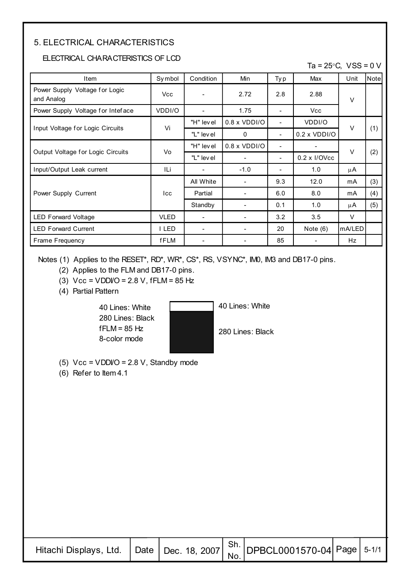#### 5. ELECTRICAL CHARACTERISTICS

#### ELECTRICAL CHARACTERISTICS OF LCD

Ta =  $25^{\circ}$ C, VSS = 0 V

| Item                                         | Symbol      | Condition  | Min                 | Ty p | Max                 | Unit   | Note |
|----------------------------------------------|-------------|------------|---------------------|------|---------------------|--------|------|
| Power Supply Voltage for Logic<br>and Analog | <b>Vcc</b>  |            | 2.72                | 2.8  | 2.88                | $\vee$ |      |
| Power Supply Voltage for Inteface            | VDDI/O      | ۰          | 1.75                | ٠    | <b>Vcc</b>          |        |      |
|                                              | Vi          | "H" lev el | $0.8 \times VDDI/O$ | ۰    | VDDI/O              | $\vee$ |      |
| Input Voltage for Logic Circuits             |             | "L" level  | 0                   | -    | $0.2 \times VDDI/O$ |        | (1)  |
|                                              |             | "H" level  | $0.8 \times VDDI/O$ | -    |                     | $\vee$ |      |
| Output Voltage for Logic Circuits            | Vo          | "L" level  |                     | -    | $0.2 \times I/OVec$ |        | (2)  |
| Input/Output Leak current                    | ILi         |            | $-1.0$              |      | 1.0                 | μA     |      |
|                                              |             | All White  |                     | 9.3  | 12.0                | mA     | (3)  |
| Power Supply Current                         | lcc         | Partial    |                     | 6.0  | 8.0                 | mA     | (4)  |
|                                              |             | Standby    |                     | 0.1  | 1.0                 | μA     | (5)  |
| <b>LED Forward Voltage</b>                   | <b>VLED</b> |            |                     | 3.2  | 3.5                 | V      |      |
| <b>LED Forward Current</b>                   | I LED       |            |                     | 20   | Note $(6)$          | mA/LED |      |
| Frame Frequency                              | fFLM        |            |                     | 85   |                     | Hz.    |      |

Notes (1) Applies to the RESET\*, RD\*, WR\*, CS\*, RS, VSYNC\*, IM0, IM3 and DB17-0 pins.

- (2) Applies to the FLM and DB17-0 pins.
- (3)  $Vcc = VDDVO = 2.8 V$ , fFLM = 85 Hz
- (4) Partial Pattern

40 Lines: White 280 Lines: Black  $fFLM = 85 Hz$ 8-color mode



40 Lines: White

280 Lines: Black

- (5)  $Vcc = VDDVO = 2.8 V$ , Standby mode
- (6) Refer to Item 4.1

| . acni Displays, Ltd. $\Big $ Date $\Big $ Dec. 18, 2007 $\Big $ S <sup>n.</sup> DPBCL0001570-04 Page Late |  |  |  |  |  |
|------------------------------------------------------------------------------------------------------------|--|--|--|--|--|
|------------------------------------------------------------------------------------------------------------|--|--|--|--|--|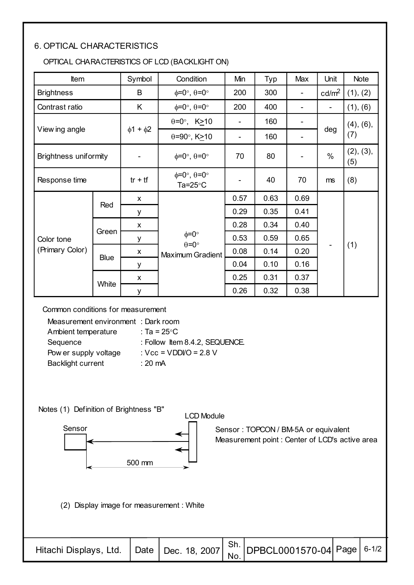#### 6. OPTICAL CHARACTERISTICS

#### OPTICAL CHARACTERISTICS OF LCD (BACKLIGHT ON)

| Item                         |             | Symbol              | Condition                                                   | Min  | Typ  | Max  | Unit                     | <b>Note</b>      |
|------------------------------|-------------|---------------------|-------------------------------------------------------------|------|------|------|--------------------------|------------------|
| <b>Brightness</b>            |             | B                   | $\phi = 0^\circ$ , $\theta = 0^\circ$                       | 200  | 300  |      | cd/m <sup>2</sup>        | (1), (2)         |
| Contrast ratio               |             | K                   | $\phi = 0^\circ$ , $\theta = 0^\circ$                       | 200  | 400  | -    | $\overline{\phantom{a}}$ | (1), (6)         |
|                              |             |                     | $\theta = 0^\circ$ , K > 10                                 |      | 160  |      |                          | (4), (6),        |
| View ing angle               |             | $\phi$ 1 + $\phi$ 2 | $\theta = 90^\circ$ , K $\geq 10$                           | ۰    | 160  |      | deg                      | (7)              |
| <b>Brightness uniformity</b> |             |                     | $\phi = 0^\circ$ , $\theta = 0^\circ$                       | 70   | 80   |      | $\%$                     | (2), (3),<br>(5) |
| Response time                |             | $tr + tf$           | $\phi = 0^\circ$ , $\theta = 0^\circ$<br>Ta= $25^{\circ}$ C |      | 40   | 70   | ms                       | (8)              |
|                              |             | $\mathsf{x}$        |                                                             | 0.57 | 0.63 | 0.69 |                          |                  |
|                              | Red         | y                   |                                                             | 0.29 | 0.35 | 0.41 |                          |                  |
|                              |             | $\mathsf{x}$        |                                                             | 0.28 | 0.34 | 0.40 |                          |                  |
| Color tone                   | Green       | у                   | $\phi = 0^{\circ}$<br>$\theta = 0^{\circ}$                  | 0.53 | 0.59 | 0.65 |                          |                  |
| (Primary Color)              |             | X                   | <b>Maximum Gradient</b>                                     | 0.08 | 0.14 | 0.20 |                          | (1)              |
|                              | <b>Blue</b> | у                   |                                                             | 0.04 | 0.10 | 0.16 |                          |                  |
|                              |             | $\mathsf{x}$        |                                                             | 0.25 | 0.31 | 0.37 |                          |                  |
|                              | White       | у                   |                                                             | 0.26 | 0.32 | 0.38 |                          |                  |

Common conditions for measurement

| Measurement environment: Dark room |                                               |
|------------------------------------|-----------------------------------------------|
| Ambient temperature                | : Ta = 25°C                                   |
| Sequence                           | : Follow Item 8.4.2, SEQUENCE.                |
| Pow er supply voltage              | : $\text{Vcc} = \text{VDDVO} = 2.8 \text{ V}$ |
| <b>Backlight current</b>           | : 20 $mA$                                     |

Notes (1) Definition of Brightness "B"



(2) Display image for measurement : White

|  | Hitachi Displays, Ltd. Date Dec. 18, 2007 $\begin{vmatrix} Sh. \ No. \ No. \end{vmatrix}$ DPBCL0001570-04 Page 6-1/2 |  |
|--|----------------------------------------------------------------------------------------------------------------------|--|

Sensor : TOPCON / BM-5A or equivalent

Measurement point : Center of LCD's active area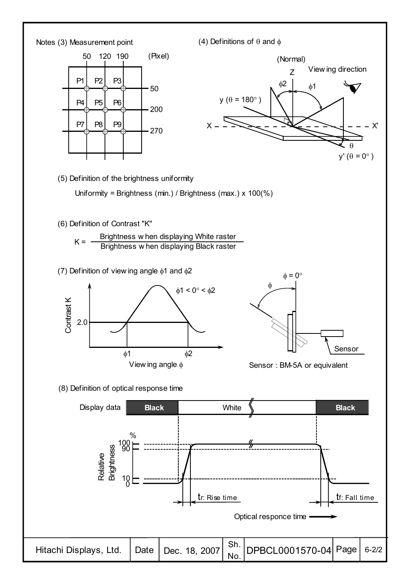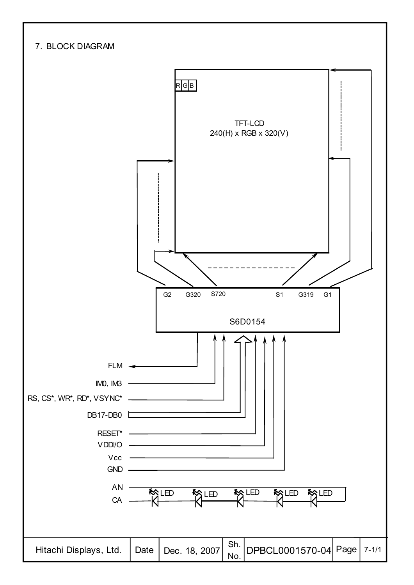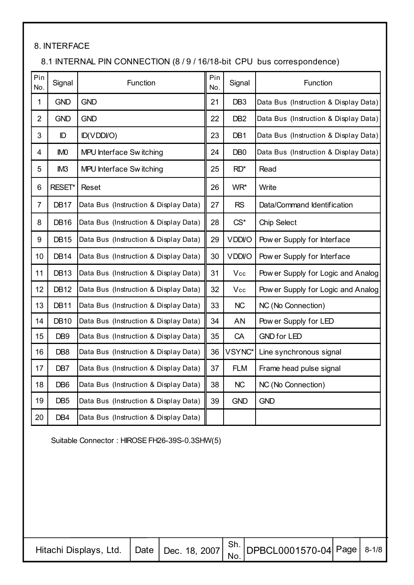#### 8. INTERFACE

#### 8.1 INTERNAL PIN CONNECTION (8 / 9 / 16/18-bit CPU bus correspondence)

| Pin<br>No.     | Signal          | Function                              | Pin<br>No. | Signal          | Function                              |
|----------------|-----------------|---------------------------------------|------------|-----------------|---------------------------------------|
| $\mathbf{1}$   | <b>GND</b>      | <b>GND</b>                            | 21         | DB <sub>3</sub> | Data Bus (Instruction & Display Data) |
| $\overline{2}$ | <b>GND</b>      | <b>GND</b>                            | 22         | DB <sub>2</sub> | Data Bus (Instruction & Display Data) |
| 3              | ID              | ID(VDDI/O)                            | 23         | DB <sub>1</sub> | Data Bus (Instruction & Display Data) |
| 4              | <b>IMO</b>      | MPU Interface Switching               | 24         | DB <sub>0</sub> | Data Bus (Instruction & Display Data) |
| 5              | IM <sub>3</sub> | MPU Interface Switching               | 25         | $RD^*$          | Read                                  |
| 6              | RESET*          | Reset                                 | 26         | WR*             | Write                                 |
| $\overline{7}$ | <b>DB17</b>     | Data Bus (Instruction & Display Data) | 27         | <b>RS</b>       | Data/Command Identification           |
| 8              | <b>DB16</b>     | Data Bus (Instruction & Display Data) | 28         | $CS^*$          | <b>Chip Select</b>                    |
| 9              | <b>DB15</b>     | Data Bus (Instruction & Display Data) | 29         | <b>VDDI/O</b>   | Pow er Supply for Interface           |
| 10             | <b>DB14</b>     | Data Bus (Instruction & Display Data) | 30         | <b>VDDI/O</b>   | Pow er Supply for Interface           |
| 11             | <b>DB13</b>     | Data Bus (Instruction & Display Data) | 31         | Vcc             | Pow er Supply for Logic and Analog    |
| 12             | <b>DB12</b>     | Data Bus (Instruction & Display Data) | 32         | Vcc             | Pow er Supply for Logic and Analog    |
| 13             | <b>DB11</b>     | Data Bus (Instruction & Display Data) | 33         | <b>NC</b>       | NC (No Connection)                    |
| 14             | <b>DB10</b>     | Data Bus (Instruction & Display Data) | 34         | AN              | Pow er Supply for LED                 |
| 15             | DB <sub>9</sub> | Data Bus (Instruction & Display Data) | 35         | CA              | <b>GND for LED</b>                    |
| 16             | DB <sub>8</sub> | Data Bus (Instruction & Display Data) | 36         | VSYNC*          | Line synchronous signal               |
| 17             | DB7             | Data Bus (Instruction & Display Data) | 37         | <b>FLM</b>      | Frame head pulse signal               |
| 18             | DB <sub>6</sub> | Data Bus (Instruction & Display Data) | 38         | <b>NC</b>       | NC (No Connection)                    |
| 19             | DB <sub>5</sub> | Data Bus (Instruction & Display Data) | 39         | <b>GND</b>      | <b>GND</b>                            |
| 20             | DB4             | Data Bus (Instruction & Display Data) |            |                 |                                       |

Suitable Connector : HIROSE FH26-39S-0.3SHW(5)

| . acni Displays, Ltd. $\Big $ Date $\Big $ Dec. 18, 2007 $\Big $ Sn. DPBCL0001570-04 Page Letter |  |  |  |  |  |
|--------------------------------------------------------------------------------------------------|--|--|--|--|--|
|--------------------------------------------------------------------------------------------------|--|--|--|--|--|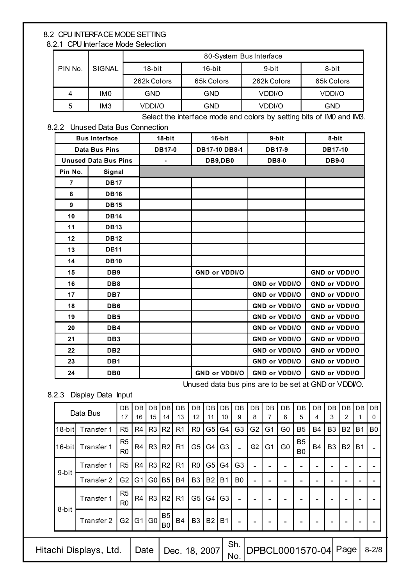#### 8.2 CPU INTERFACE MODE SETTING

8.2.1 CPU Interface Mode Selection

|         |                 | 80-System Bus Interface |            |             |            |  |  |  |  |  |  |
|---------|-----------------|-------------------------|------------|-------------|------------|--|--|--|--|--|--|
| PIN No. | SIGNAL          | 18-bit                  | 16-bit     | 9-bit       | 8-bit      |  |  |  |  |  |  |
|         |                 | 262k Colors             | 65k Colors | 262k Colors | 65k Colors |  |  |  |  |  |  |
| 4       | IM <sub>0</sub> | GND                     | GND        | VDDI/O      | VDDI/O     |  |  |  |  |  |  |
| 5       | IM <sub>3</sub> | VDDI/O                  | GND        | VDDI/O      | <b>GND</b> |  |  |  |  |  |  |

Select the interface mode and colors by setting bits of IM0 and IM3.

#### 8.2.2 Unused Data Bus Connection

|                             | <b>Bus Interface</b> | $18-b$ it     | $16-b$ it            | 9-bit                | 8-bit                |
|-----------------------------|----------------------|---------------|----------------------|----------------------|----------------------|
|                             | <b>Data Bus Pins</b> | <b>DB17-0</b> | DB17-10 DB8-1        | <b>DB17-9</b>        | DB17-10              |
| <b>Unused Data Bus Pins</b> |                      |               | DB9,DB0              | <b>DB8-0</b>         | <b>DB9-0</b>         |
| Pin No.                     | Signal               |               |                      |                      |                      |
| $\overline{7}$              | <b>DB17</b>          |               |                      |                      |                      |
| 8                           | <b>DB16</b>          |               |                      |                      |                      |
| 9                           | <b>DB15</b>          |               |                      |                      |                      |
| 10                          | <b>DB14</b>          |               |                      |                      |                      |
| 11                          | <b>DB13</b>          |               |                      |                      |                      |
| 12                          | <b>DB12</b>          |               |                      |                      |                      |
| 13                          | <b>DB11</b>          |               |                      |                      |                      |
| 14                          | <b>DB10</b>          |               |                      |                      |                      |
| 15                          | DB <sub>9</sub>      |               | <b>GND or VDDI/O</b> |                      | <b>GND or VDDI/O</b> |
| 16                          | DB8                  |               |                      | <b>GND or VDDI/O</b> | <b>GND or VDDI/O</b> |
| 17                          | DB7                  |               |                      | GND or VDDI/O        | GND or VDDI/O        |
| 18                          | DB <sub>6</sub>      |               |                      | <b>GND or VDDI/O</b> | <b>GND or VDDI/O</b> |
| 19                          | DB <sub>5</sub>      |               |                      | <b>GND or VDDI/O</b> | <b>GND or VDDI/O</b> |
| 20                          | DB4                  |               |                      | <b>GND or VDDI/O</b> | <b>GND or VDDI/O</b> |
| 21                          | DB <sub>3</sub>      |               |                      | <b>GND or VDDI/O</b> | <b>GND or VDDI/O</b> |
| 22                          | DB <sub>2</sub>      |               |                      | <b>GND or VDDI/O</b> | <b>GND or VDDI/O</b> |
| 23                          | DB1                  |               |                      | GND or VDDI/O        | <b>GND or VDDI/O</b> |
| 24                          | DB <sub>0</sub>      |               | <b>GND or VDDI/O</b> | <b>GND or VDDI/O</b> | <b>GND or VDDI/O</b> |

Unused data bus pins are to be set at GND or VDDI/O.

8.2.3 Display Data Input

|           | Data Bus               | <b>DB</b><br>17                  | DB<br>16       | DB<br>15       | DB<br>14             | DB<br>13       | <b>DB</b><br>12 | D <sub>B</sub><br>11 | <b>DB</b><br>10 | <b>DB</b><br>9           | DB<br>8        | DB<br>7        | <b>DB</b><br>6  | DB<br>5                     | DB<br>4   | DB<br>3        | DB<br>2                  | DB             | DB<br>0        |  |
|-----------|------------------------|----------------------------------|----------------|----------------|----------------------|----------------|-----------------|----------------------|-----------------|--------------------------|----------------|----------------|-----------------|-----------------------------|-----------|----------------|--------------------------|----------------|----------------|--|
| $18$ -bit | Transfer 1             | R <sub>5</sub>                   | R4             | R <sub>3</sub> | R <sub>2</sub>       | R <sub>1</sub> | R <sub>0</sub>  | G5                   | G4              | G <sub>3</sub>           | G <sub>2</sub> | G <sub>1</sub> | G <sub>0</sub>  | B <sub>5</sub>              | <b>B4</b> | B <sub>3</sub> | <b>B2</b>                | B <sub>1</sub> | B <sub>0</sub> |  |
| $16$ -bit | Transfer 1             | R <sub>5</sub><br>R <sub>0</sub> | R4             | R3             | R <sub>2</sub>       | R <sub>1</sub> | G <sub>5</sub>  | G4                   | G <sub>3</sub>  | $\overline{\phantom{0}}$ | G <sub>2</sub> | G <sub>1</sub> | G0              | <b>B5</b><br>B <sub>0</sub> | <b>B4</b> | B <sub>3</sub> | <b>B2</b>                | <b>B1</b>      |                |  |
|           | Transfer 1             | R <sub>5</sub>                   | R <sub>4</sub> | R3             | R <sub>2</sub>       | R <sub>1</sub> | R <sub>0</sub>  | G5                   | G4              | G <sub>3</sub>           |                |                |                 |                             |           |                |                          |                |                |  |
| 9-bit     | Transfer 2             | G <sub>2</sub>                   | G1             | G0             | B <sub>5</sub>       | B4             | B <sub>3</sub>  | <b>B21</b>           | <b>B1</b>       | B <sub>0</sub>           |                |                |                 |                             |           |                | $\overline{\phantom{0}}$ |                |                |  |
|           | Transfer 1             | R <sub>5</sub><br>R <sub>0</sub> | R4             | R3             | R <sub>2</sub>       | R <sub>1</sub> | G <sub>5</sub>  | G4                   | G <sub>3</sub>  | $\overline{a}$           |                |                |                 |                             |           |                |                          |                |                |  |
| 8-bit     | Transfer 2             | G <sub>2</sub>                   | G1             | G <sub>0</sub> | B <sub>5</sub><br>B0 | <b>B4</b>      | B <sub>3</sub>  | <b>B2</b>            | <b>B1</b>       |                          |                |                |                 |                             |           |                |                          |                |                |  |
|           | Hitachi Displays, Ltd. |                                  | Date           |                |                      | Dec. 18, 2007  |                 |                      |                 | Sh.<br>No.               |                |                | DPBCL0001570-04 |                             |           |                | Page                     |                | $8 - 2/8$      |  |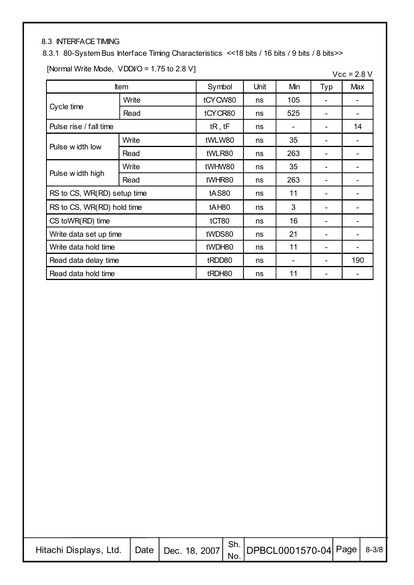#### 8.3 INTERFACE TIMING

#### 8.3.1 80-System Bus Interface Timing Characteristics <<18 bits / 16 bits / 9 bits / 8 bits>>

[Normal Write Mode,  $VDDVO = 1.75$  to 2.8 V]

| $Vec = 2.8 V$ |  |  |
|---------------|--|--|
|---------------|--|--|

|                             | <b>Item</b> | Symbol            | Unit     | Min | Typ | Max |
|-----------------------------|-------------|-------------------|----------|-----|-----|-----|
|                             | Write       | tCYCW80           | ns       | 105 |     |     |
| Cycle time                  | Read        | tCYCR80           | ns       | 525 |     |     |
| Pulse rise / fall time      | tR, tF      | ns                |          |     | 14  |     |
| Pulse width low             | Write       | tWLW80            | ns       | 35  |     |     |
|                             | Read        | tWLR80            | ns       | 263 |     |     |
|                             | Write       | tWHW80            | 35<br>ns |     |     |     |
| Pulse w idth high           | Read        | tWHR80            | ns       | 263 |     |     |
| RS to CS, WR(RD) setup time |             | <b>tAS80</b>      | ns       | 11  |     |     |
| RS to CS, WR(RD) hold time  |             | tAH <sub>80</sub> | ns       | 3   |     |     |
| CS toWR(RD) time            |             | tCT80             | ns       | 16  |     |     |
| Write data set up time      |             | tWDS80            | ns       | 21  |     |     |
| Write data hold time        |             | tWDH80            | ns       | 11  |     |     |
| Read data delay time        |             |                   | ns       | -   |     | 190 |
| Read data hold time         |             | tRDH80            | ns       | 11  |     |     |

| … acni Displays, Ltd. $\Big $ Date $\Big $ Dec. 18, 2007 $\Big $ Sn. DPBCL0001570-04 Page Letter |  |  |  |  |  |
|--------------------------------------------------------------------------------------------------|--|--|--|--|--|
|--------------------------------------------------------------------------------------------------|--|--|--|--|--|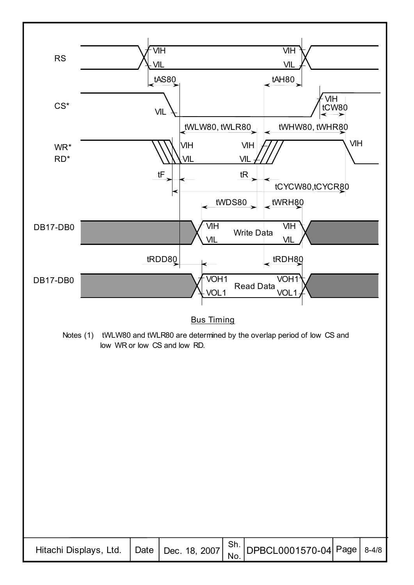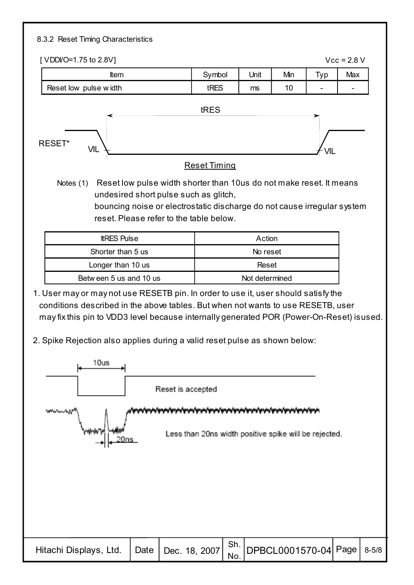#### 8.3.2 Reset Timing Characteristics

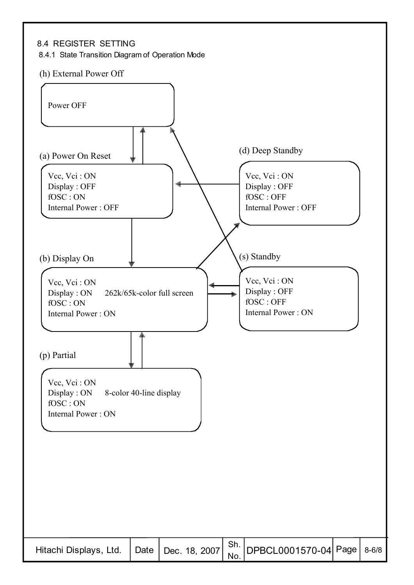#### 8.4 REGISTER SETTING

8.4.1 State Transition Diagram of Operation Mode

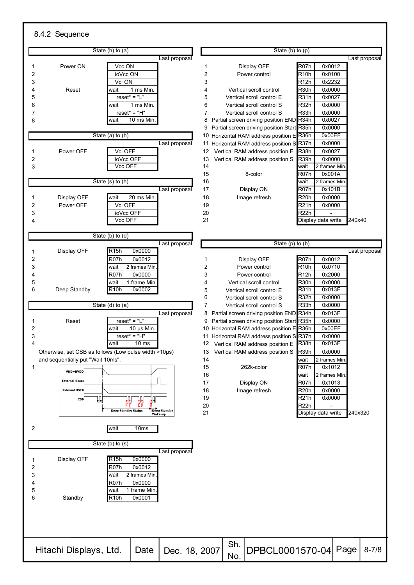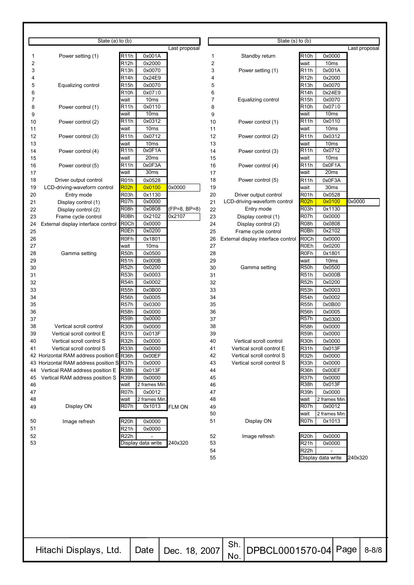|          | State $(a)$ to $(b)$                      |                                            |               |          | State $(s)$ to $(b)$               |                                            |               |
|----------|-------------------------------------------|--------------------------------------------|---------------|----------|------------------------------------|--------------------------------------------|---------------|
|          |                                           |                                            | Last proposal |          |                                    |                                            | Last proposal |
| 1        | Power setting (1)                         | R <sub>11</sub> h<br>0x001A                |               | 1        | Standby return                     | R <sub>10</sub> h<br>0x0000                |               |
| 2        |                                           | R12h<br>0x2000                             |               | 2        |                                    | 10 <sub>ms</sub><br>wait                   |               |
| 3        |                                           | R13h<br>0x0070                             |               | 3        | Power setting (1)                  | 0x001A<br>R11h                             |               |
| 4        |                                           | R <sub>14</sub> h<br>0x24E9                |               | 4        |                                    | R <sub>12</sub> h<br>0x2000                |               |
| 5        | Equalizing control                        | 0x0070<br>R15h                             |               | 5        |                                    | 0x0070<br>R13h                             |               |
| 6        |                                           | 0x0710<br>R10h                             |               | 6        |                                    | R14h<br>0x24E9                             |               |
| 7<br>8   | Power control (1)                         | wait<br>10 <sub>ms</sub><br>0x0110<br>R11h |               | 7<br>8   | Equalizing control                 | 0x0070<br>R15h<br>R10h<br>0x0710           |               |
| 9        |                                           | 10 <sub>ms</sub><br>wait                   |               | 9        |                                    | 10ms<br>wait                               |               |
| 10       | Power control (2)                         | 0x0312<br>R11h                             |               | 10       | Power control (1)                  | 0x0110<br>R11h                             |               |
| 11       |                                           | wait<br>10 <sub>ms</sub>                   |               | 11       |                                    | 10 <sub>ms</sub><br>wait                   |               |
| 12       | Power control (3)                         | 0x0712<br>R11h                             |               | 12       | Power control (2)                  | 0x0312<br>R11h                             |               |
| 13       |                                           | wait<br>10 <sub>ms</sub>                   |               | 13       |                                    | 10 <sub>ms</sub><br>wait                   |               |
| 14       | Power control (4)                         | 0x0F1A<br>R11h                             |               | 14       | Power control (3)                  | 0x0712<br>R11h                             |               |
| 15       |                                           | 20ms<br>wait                               |               | 15       |                                    | 10 <sub>ms</sub><br>wait                   |               |
| 16       | Power control (5)                         | 0x0F3A<br>R11h<br>30 <sub>ms</sub><br>wait |               | 16<br>17 | Power control (4)                  | 0x0F1A<br>R11h<br>20 <sub>ms</sub><br>wait |               |
| 17<br>18 | Driver output control                     | R <sub>01</sub> h<br>0x0528                |               | 18       | Power control (5)                  | R <sub>11</sub> h<br>0x0F3A                |               |
| 19       | LCD-driving-waveform control              | R02h<br>0x0100                             | 0x0000        | 19       |                                    | wait<br>30 <sub>ms</sub>                   |               |
| 20       | Entry mode                                | R03h<br>0x1130                             |               | 20       | Driver output control              | R01h<br>0x0528                             |               |
| 21       | Display control (1)                       | R07h<br>0x0000                             |               | 21       | LCD-driving-waveform control       | R02h<br>0x0100                             | 0x0000        |
| 22       | Display control (2)                       | R08h<br>0x0808                             | (FP=8, BP=8)  | 22       | Entry mode                         | R03h<br>0x1130                             |               |
| 23       | Frame cycle control                       | R <sub>0</sub> Bh<br>0x2102                | 0x2107        | 23       | Display control (1)                | R07h<br>0x0000                             |               |
| 24       | External display interface control        | R <sub>0</sub> Ch<br>0x0000                |               | 24       | Display control (2)                | R <sub>08</sub> h<br>0x0808                |               |
| 25       |                                           | <b>R0Eh</b><br>0x0200                      |               | 25       | Frame cycle control                | R <sub>0</sub> Bh<br>0x2102                |               |
| 26       |                                           | R0Fh<br>0x1801                             |               | 26       | External display interface control | R <sub>0</sub> Ch<br>0x0000                |               |
| 27<br>28 |                                           | wait<br>10 <sub>ms</sub>                   |               | 27<br>28 |                                    | R0Eh<br>0x0200<br>0x1801                   |               |
| 29       | Gamma setting                             | R50h<br>0x0500<br>R51h<br>0x000B           |               | 29       |                                    | R0Fh<br>10 <sub>ms</sub><br>wait           |               |
| 30       |                                           | R52h<br>0x0200                             |               | 30       | Gamma setting                      | R50h<br>0x0500                             |               |
| 31       |                                           | R53h<br>0x0003                             |               | 31       |                                    | R51h<br>0x000B                             |               |
| 32       |                                           | R54h<br>0x0002                             |               | 32       |                                    | R52h<br>0x0200                             |               |
| 33       |                                           | R55h<br>0x0B00                             |               | 33       |                                    | R53h<br>0x0003                             |               |
| 34       |                                           | 0x0005<br>R56h                             |               | 34       |                                    | R54h<br>0x0002                             |               |
| 35       |                                           | R57h<br>0x0300                             |               | 35       |                                    | R55h<br>0x0B00                             |               |
| 36       |                                           | R58h<br>0x0000                             |               | 36       |                                    | 0x0005<br>R56h                             |               |
| 37<br>38 | Vertical scroll control                   | R59h<br>0x0000                             |               | 37<br>38 |                                    | R57h<br>0x0300<br>0x0000                   |               |
| 39       | Vertical scroll control E                 | R30h<br>0x0000<br>R31h<br>0x013F           |               | 39       |                                    | R58h<br>R59h<br>0x0000                     |               |
| 40       | Vertical scroll control S                 | R <sub>32</sub> h<br>0x0000                |               | 40       | Vertical scroll control            | R <sub>30</sub> h<br>0x0000                |               |
| 41       | Vertical scroll control S                 | R33h<br>0x0000                             |               | 41       | Vertical scroll control E          | R31h<br>0x013F                             |               |
|          | 42 Horizontal RAM address position E R36h | 0x00EF                                     |               | 42       | Vertical scroll control S          | R32h<br>0x0000                             |               |
|          | 43 Horizontal RAM address position S R37h | 0x0000                                     |               | 43       | Vertical scroll control S          | 0x0000<br>R33h                             |               |
| 44       | Vertical RAM address position E           | R <sub>38</sub> h<br>0x013F                |               | 44       |                                    | 0x00EF<br>R <sub>36</sub> h                |               |
| 45       | Vertical RAM address position S           | R <sub>39h</sub><br>0x0000                 |               | 45       |                                    | R37h<br>0x0000                             |               |
| 46       |                                           | wait<br>2 frames Min                       |               | 46       |                                    | 0x013F<br>R <sub>38</sub> h                |               |
| 47       |                                           | R07h<br>0x0012                             |               | 47       |                                    | R39h<br>0x0000                             |               |
| 48       | Display ON                                | wait<br>2 frames Min.<br>R07h<br>0x1013    | FLM ON        | 48<br>49 |                                    | 2 frames Min<br>wait<br>R07h<br>0x0012     |               |
| 49       |                                           |                                            |               | 50       |                                    | 2 frames Min<br>wait                       |               |
| 50       | Image refresh                             | R20h<br>0x0000                             |               | 51       | Display ON                         | R <sub>07h</sub><br>0x1013                 |               |
| 51       |                                           | R21h<br>0x0000                             |               |          |                                    |                                            |               |
| 52       |                                           | R22h                                       |               | 52       | Image refresh                      | R <sub>20</sub> h<br>0x0000                |               |
| 53       |                                           | Display data write                         | 240x320       | 53       |                                    | R <sub>21</sub> h<br>0x0000                |               |
|          |                                           |                                            |               | 54       |                                    | R <sub>22</sub> h                          |               |
|          |                                           |                                            |               | 55       |                                    | Display data write                         | 240x320       |
|          |                                           |                                            |               |          |                                    |                                            |               |
|          |                                           |                                            |               |          |                                    |                                            |               |

| $\frac{1}{2}$ machi Displays, Ltd. $\Big $ Date $\Big $ Dec. 18, 2007 $\Big $ Sn. DPBCL0001570-04 Page Look |  |  |  |  |  |  |
|-------------------------------------------------------------------------------------------------------------|--|--|--|--|--|--|
|-------------------------------------------------------------------------------------------------------------|--|--|--|--|--|--|